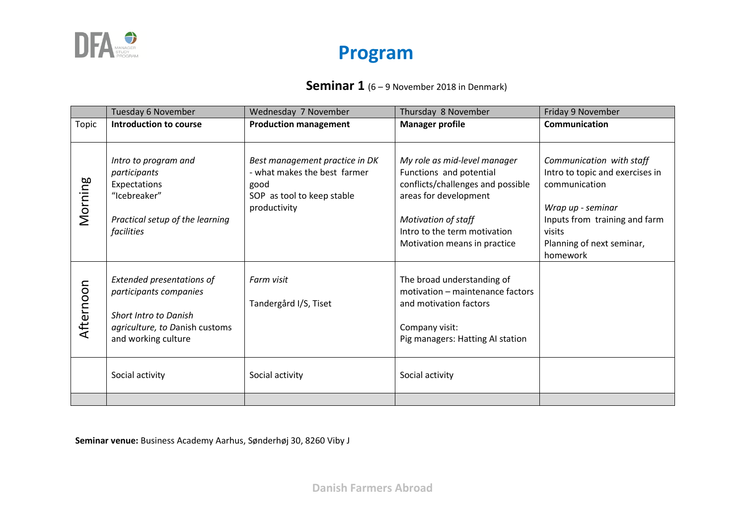

#### **Seminar 1** (6 – 9 November 2018 in Denmark)

|           | Tuesday 6 November                                                                                                                                              | Wednesday 7 November                                                                                                 | Thursday 8 November                                                                                                                                                                                          | Friday 9 November                                                                                                                                                                     |
|-----------|-----------------------------------------------------------------------------------------------------------------------------------------------------------------|----------------------------------------------------------------------------------------------------------------------|--------------------------------------------------------------------------------------------------------------------------------------------------------------------------------------------------------------|---------------------------------------------------------------------------------------------------------------------------------------------------------------------------------------|
| Topic     | <b>Introduction to course</b>                                                                                                                                   | <b>Production management</b>                                                                                         | <b>Manager profile</b>                                                                                                                                                                                       | Communication                                                                                                                                                                         |
| Morning   | Intro to program and<br>participants<br>Expectations<br>"Icebreaker"<br>Practical setup of the learning<br>facilities                                           | Best management practice in DK<br>- what makes the best farmer<br>good<br>SOP as tool to keep stable<br>productivity | My role as mid-level manager<br>Functions and potential<br>conflicts/challenges and possible<br>areas for development<br>Motivation of staff<br>Intro to the term motivation<br>Motivation means in practice | Communication with staff<br>Intro to topic and exercises in<br>communication<br>Wrap up - seminar<br>Inputs from training and farm<br>visits<br>Planning of next seminar,<br>homework |
| Afternoon | Extended presentations of<br>participants companies<br><b>Short Intro to Danish</b><br>agriculture, to Danish customs<br>and working culture<br>Social activity | Farm visit<br>Tandergård I/S, Tiset<br>Social activity                                                               | The broad understanding of<br>motivation - maintenance factors<br>and motivation factors<br>Company visit:<br>Pig managers: Hatting AI station<br>Social activity                                            |                                                                                                                                                                                       |
|           |                                                                                                                                                                 |                                                                                                                      |                                                                                                                                                                                                              |                                                                                                                                                                                       |

**Seminar venue:** Business Academy Aarhus, Sønderhøj 30, 8260 Viby J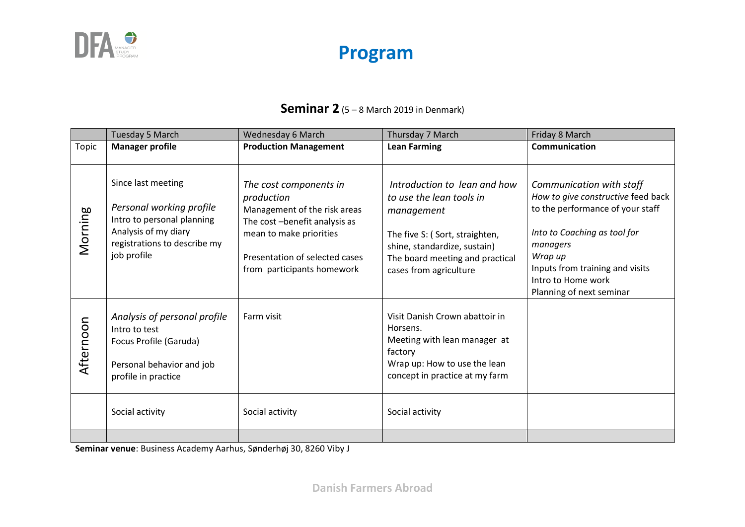

#### **Seminar 2** (5 – 8 March 2019 in Denmark)

|           | <b>Tuesday 5 March</b>                                                                                                                              | Wednesday 6 March                                                                                                                                                                                | Thursday 7 March                                                                                                                                                                                      | Friday 8 March                                                                                                                                                                                                                                 |
|-----------|-----------------------------------------------------------------------------------------------------------------------------------------------------|--------------------------------------------------------------------------------------------------------------------------------------------------------------------------------------------------|-------------------------------------------------------------------------------------------------------------------------------------------------------------------------------------------------------|------------------------------------------------------------------------------------------------------------------------------------------------------------------------------------------------------------------------------------------------|
| Topic     | <b>Manager profile</b>                                                                                                                              | <b>Production Management</b>                                                                                                                                                                     | <b>Lean Farming</b>                                                                                                                                                                                   | <b>Communication</b>                                                                                                                                                                                                                           |
| Morning   | Since last meeting<br>Personal working profile<br>Intro to personal planning<br>Analysis of my diary<br>registrations to describe my<br>job profile | The cost components in<br>production<br>Management of the risk areas<br>The cost -benefit analysis as<br>mean to make priorities<br>Presentation of selected cases<br>from participants homework | Introduction to lean and how<br>to use the lean tools in<br>management<br>The five S: (Sort, straighten,<br>shine, standardize, sustain)<br>The board meeting and practical<br>cases from agriculture | Communication with staff<br>How to give constructive feed back<br>to the performance of your staff<br>Into to Coaching as tool for<br>managers<br>Wrap up<br>Inputs from training and visits<br>Intro to Home work<br>Planning of next seminar |
| Afternoon | Analysis of personal profile<br>Intro to test<br>Focus Profile (Garuda)<br>Personal behavior and job<br>profile in practice                         | Farm visit                                                                                                                                                                                       | Visit Danish Crown abattoir in<br>Horsens.<br>Meeting with lean manager at<br>factory<br>Wrap up: How to use the lean<br>concept in practice at my farm                                               |                                                                                                                                                                                                                                                |
|           | Social activity                                                                                                                                     | Social activity                                                                                                                                                                                  | Social activity                                                                                                                                                                                       |                                                                                                                                                                                                                                                |
|           |                                                                                                                                                     |                                                                                                                                                                                                  |                                                                                                                                                                                                       |                                                                                                                                                                                                                                                |

**Seminar venue**: Business Academy Aarhus, Sønderhøj 30, 8260 Viby J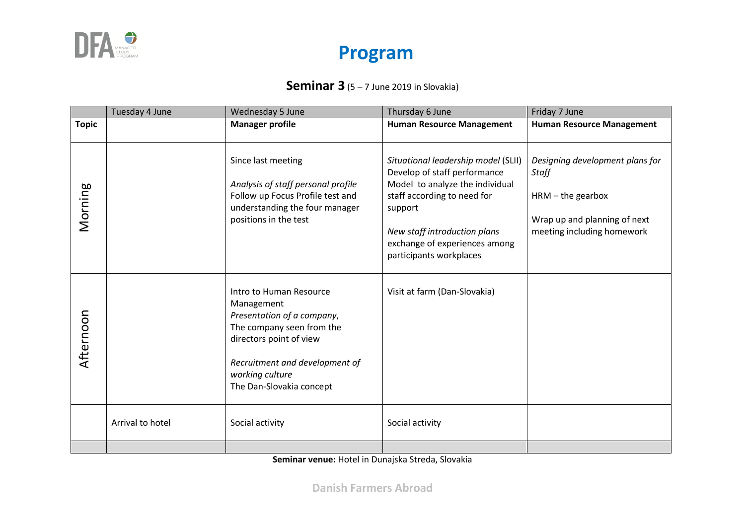

#### **Seminar 3** (5 – 7 June 2019 in Slovakia)

|              | Tuesday 4 June   | Wednesday 5 June                                                                                                                                                                                             | Thursday 6 June                                                                                                                                                                                                                              | Friday 7 June                                                                                                                        |
|--------------|------------------|--------------------------------------------------------------------------------------------------------------------------------------------------------------------------------------------------------------|----------------------------------------------------------------------------------------------------------------------------------------------------------------------------------------------------------------------------------------------|--------------------------------------------------------------------------------------------------------------------------------------|
| <b>Topic</b> |                  | <b>Manager profile</b>                                                                                                                                                                                       | <b>Human Resource Management</b>                                                                                                                                                                                                             | <b>Human Resource Management</b>                                                                                                     |
| Morning      |                  | Since last meeting<br>Analysis of staff personal profile<br>Follow up Focus Profile test and<br>understanding the four manager<br>positions in the test                                                      | Situational leadership model (SLII)<br>Develop of staff performance<br>Model to analyze the individual<br>staff according to need for<br>support<br>New staff introduction plans<br>exchange of experiences among<br>participants workplaces | Designing development plans for<br><b>Staff</b><br>$HRM - the$ gearbox<br>Wrap up and planning of next<br>meeting including homework |
| Afternoon    |                  | Intro to Human Resource<br>Management<br>Presentation of a company,<br>The company seen from the<br>directors point of view<br>Recruitment and development of<br>working culture<br>The Dan-Slovakia concept | Visit at farm (Dan-Slovakia)                                                                                                                                                                                                                 |                                                                                                                                      |
|              | Arrival to hotel | Social activity                                                                                                                                                                                              | Social activity                                                                                                                                                                                                                              |                                                                                                                                      |
|              |                  |                                                                                                                                                                                                              |                                                                                                                                                                                                                                              |                                                                                                                                      |

**Seminar venue:** Hotel in Dunajska Streda, Slovakia